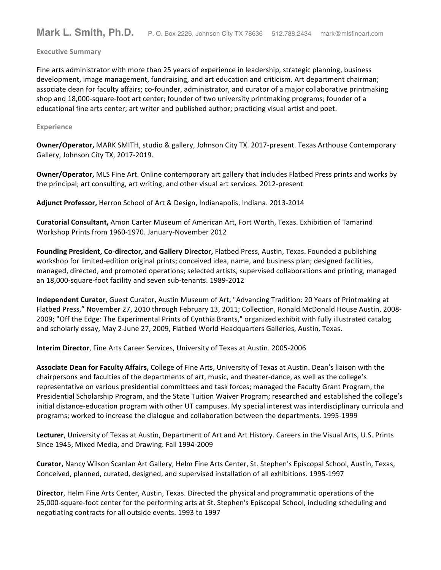### **Executive Summary**

Fine arts administrator with more than 25 years of experience in leadership, strategic planning, business development, image management, fundraising, and art education and criticism. Art department chairman; associate dean for faculty affairs; co-founder, administrator, and curator of a major collaborative printmaking shop and 18,000-square-foot art center; founder of two university printmaking programs; founder of a educational fine arts center; art writer and published author; practicing visual artist and poet.

### **Experience**

**Owner/Operator,** MARK SMITH, studio & gallery, Johnson City TX. 2017-present. Texas Arthouse Contemporary Gallery, Johnson City TX, 2017-2019.

**Owner/Operator,** MLS Fine Art. Online contemporary art gallery that includes Flatbed Press prints and works by the principal; art consulting, art writing, and other visual art services. 2012-present

Adjunct Professor, Herron School of Art & Design, Indianapolis, Indiana. 2013-2014

**Curatorial Consultant,** Amon Carter Museum of American Art, Fort Worth, Texas. Exhibition of Tamarind Workshop Prints from 1960-1970. January-November 2012

Founding President, Co-director, and Gallery Director, Flatbed Press, Austin, Texas. Founded a publishing workshop for limited-edition original prints; conceived idea, name, and business plan; designed facilities, managed, directed, and promoted operations; selected artists, supervised collaborations and printing, managed an 18,000-square-foot facility and seven sub-tenants. 1989-2012

**Independent Curator**, Guest Curator, Austin Museum of Art, "Advancing Tradition: 20 Years of Printmaking at Flatbed Press," November 27, 2010 through February 13, 2011; Collection, Ronald McDonald House Austin, 2008-2009; "Off the Edge: The Experimental Prints of Cynthia Brants," organized exhibit with fully illustrated catalog and scholarly essay, May 2-June 27, 2009, Flatbed World Headquarters Galleries, Austin, Texas.

**Interim Director**, Fine Arts Career Services, University of Texas at Austin. 2005-2006

Associate Dean for Faculty Affairs, College of Fine Arts, University of Texas at Austin. Dean's liaison with the chairpersons and faculties of the departments of art, music, and theater-dance, as well as the college's representative on various presidential committees and task forces; managed the Faculty Grant Program, the Presidential Scholarship Program, and the State Tuition Waiver Program; researched and established the college's initial distance-education program with other UT campuses. My special interest was interdisciplinary curricula and programs; worked to increase the dialogue and collaboration between the departments. 1995-1999

Lecturer, University of Texas at Austin, Department of Art and Art History. Careers in the Visual Arts, U.S. Prints Since 1945, Mixed Media, and Drawing. Fall 1994-2009

Curator, Nancy Wilson Scanlan Art Gallery, Helm Fine Arts Center, St. Stephen's Episcopal School, Austin, Texas, Conceived, planned, curated, designed, and supervised installation of all exhibitions. 1995-1997

**Director**, Helm Fine Arts Center, Austin, Texas. Directed the physical and programmatic operations of the 25,000-square-foot center for the performing arts at St. Stephen's Episcopal School, including scheduling and negotiating contracts for all outside events. 1993 to 1997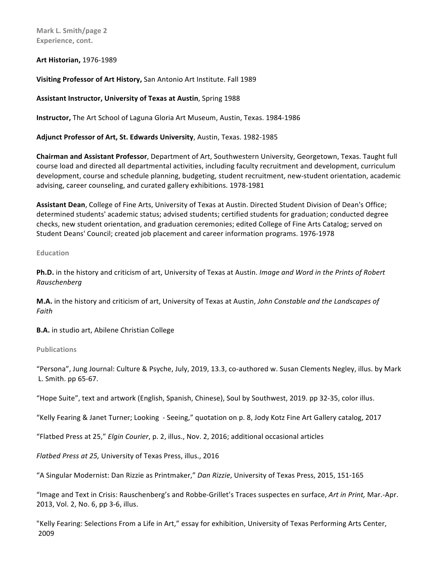**Mark L. Smith/page 2** Experience, cont.

**Art Historian,** 1976-1989

**Visiting Professor of Art History, San Antonio Art Institute. Fall 1989** 

# **Assistant Instructor, University of Texas at Austin**, Spring 1988

**Instructor,** The Art School of Laguna Gloria Art Museum, Austin, Texas. 1984-1986

Adjunct Professor of Art, St. Edwards University, Austin, Texas. 1982-1985

**Chairman and Assistant Professor**, Department of Art, Southwestern University, Georgetown, Texas. Taught full course load and directed all departmental activities, including faculty recruitment and development, curriculum development, course and schedule planning, budgeting, student recruitment, new-student orientation, academic advising, career counseling, and curated gallery exhibitions. 1978-1981

**Assistant Dean**, College of Fine Arts, University of Texas at Austin. Directed Student Division of Dean's Office; determined students' academic status; advised students; certified students for graduation; conducted degree checks, new student orientation, and graduation ceremonies; edited College of Fine Arts Catalog; served on Student Deans' Council; created job placement and career information programs. 1976-1978

**Education**

**Ph.D.** in the history and criticism of art, University of Texas at Austin. *Image and Word in the Prints of Robert Rauschenberg*

**M.A.** in the history and criticism of art, University of Texas at Austin, John Constable and the Landscapes of *Faith*

**B.A.** in studio art, Abilene Christian College

**Publications**

"Persona", Jung Journal: Culture & Psyche, July, 2019, 13.3, co-authored w. Susan Clements Negley, illus. by Mark L. Smith. pp 65-67.

"Hope Suite", text and artwork (English, Spanish, Chinese), Soul by Southwest, 2019. pp 32-35, color illus.

"Kelly Fearing & Janet Turner; Looking - Seeing," quotation on p. 8, Jody Kotz Fine Art Gallery catalog, 2017

"Flatbed Press at 25," *Elgin Courier*, p. 2, illus., Nov. 2, 2016; additional occasional articles

*Flatbed Press at 25, University of Texas Press, illus., 2016* 

"A Singular Modernist: Dan Rizzie as Printmaker," Dan Rizzie, University of Texas Press, 2015, 151-165

"Image and Text in Crisis: Rauschenberg's and Robbe-Grillet's Traces suspectes en surface, Art in Print, Mar.-Apr. 2013, Vol. 2, No. 6, pp 3-6, illus.

"Kelly Fearing: Selections From a Life in Art," essay for exhibition, University of Texas Performing Arts Center, 2009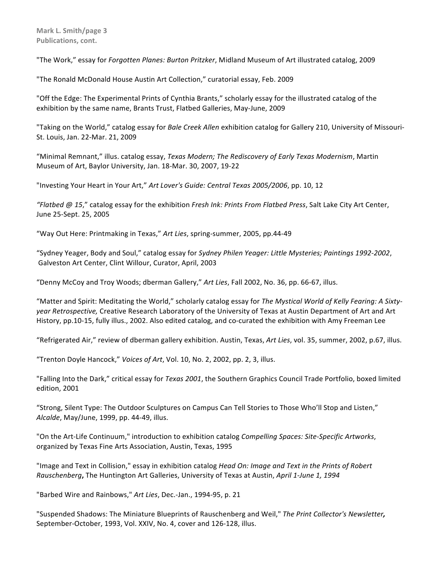"The Work," essay for *Forgotten Planes: Burton Pritzker*, Midland Museum of Art illustrated catalog, 2009

"The Ronald McDonald House Austin Art Collection," curatorial essay, Feb. 2009

"Off the Edge: The Experimental Prints of Cynthia Brants," scholarly essay for the illustrated catalog of the exhibition by the same name, Brants Trust, Flatbed Galleries, May-June, 2009

"Taking on the World," catalog essay for *Bale Creek Allen* exhibition catalog for Gallery 210, University of Missouri-St. Louis, Jan. 22-Mar. 21, 2009

"Minimal Remnant," illus. catalog essay, *Texas Modern; The Rediscovery of Early Texas Modernism*, Martin Museum of Art, Baylor University, Jan. 18-Mar. 30, 2007, 19-22

"Investing Your Heart in Your Art," Art Lover's Guide: Central Texas 2005/2006, pp. 10, 12

*"Flatbed @ 15*," catalog essay for the exhibition *Fresh Ink: Prints From Flatbed Press*, Salt Lake City Art Center, June 25-Sept. 25, 2005 

"Way Out Here: Printmaking in Texas," Art Lies, spring-summer, 2005, pp.44-49

"Sydney Yeager, Body and Soul," catalog essay for Sydney Philen Yeager: Little Mysteries; Paintings 1992-2002, Galveston Art Center, Clint Willour, Curator, April, 2003

"Denny McCoy and Troy Woods; dberman Gallery," Art Lies, Fall 2002, No. 36, pp. 66-67, illus.

"Matter and Spirit: Meditating the World," scholarly catalog essay for The Mystical World of Kelly Fearing: A Sixty*year Retrospective,* Creative Research Laboratory of the University of Texas at Austin Department of Art and Art History, pp.10-15, fully illus., 2002. Also edited catalog, and co-curated the exhibition with Amy Freeman Lee

"Refrigerated Air," review of dberman gallery exhibition. Austin, Texas, Art Lies, vol. 35, summer, 2002, p.67, illus.

"Trenton Doyle Hancock," Voices of Art, Vol. 10, No. 2, 2002, pp. 2, 3, illus.

"Falling Into the Dark," critical essay for *Texas 2001*, the Southern Graphics Council Trade Portfolio, boxed limited edition, 2001

"Strong, Silent Type: The Outdoor Sculptures on Campus Can Tell Stories to Those Who'll Stop and Listen," *Alcalde*, May/June, 1999, pp. 44-49, illus.

"On the Art-Life Continuum," introduction to exhibition catalog *Compelling Spaces: Site-Specific Artworks*, organized by Texas Fine Arts Association, Austin, Texas, 1995

"Image and Text in Collision," essay in exhibition catalog *Head On: Image and Text in the Prints of Robert Rauschenberg*, The Huntington Art Galleries, University of Texas at Austin, *April 1-June 1, 1994* 

"Barbed Wire and Rainbows," Art Lies, Dec.-Jan., 1994-95, p. 21

"Suspended Shadows: The Miniature Blueprints of Rauschenberg and Weil," *The Print Collector's Newsletter,* September-October, 1993, Vol. XXIV, No. 4, cover and 126-128, illus.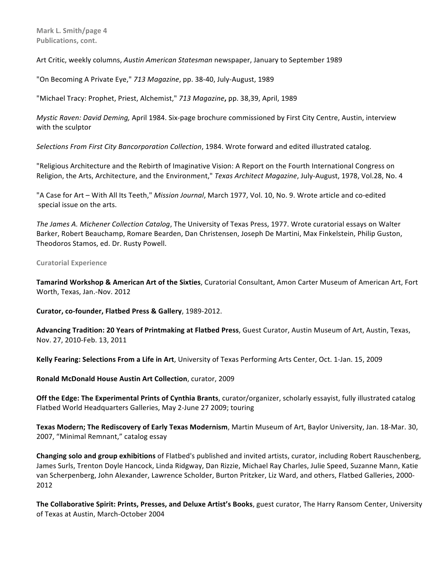Art Critic, weekly columns, *Austin American Statesman* newspaper, January to September 1989

"On Becoming A Private Eye," 713 Magazine, pp. 38-40, July-August, 1989

"Michael Tracy: Prophet, Priest, Alchemist," 713 Magazine, pp. 38,39, April, 1989

*Mystic Raven: David Deming, April 1984. Six-page brochure commissioned by First City Centre, Austin, interview* with the sculptor

Selections From First City Bancorporation Collection, 1984. Wrote forward and edited illustrated catalog.

"Religious Architecture and the Rebirth of Imaginative Vision: A Report on the Fourth International Congress on Religion, the Arts, Architecture, and the Environment," *Texas Architect Magazine*, July-August, 1978, Vol.28, No. 4

"A Case for Art – With All Its Teeth," *Mission Journal*, March 1977, Vol. 10, No. 9. Wrote article and co-edited special issue on the arts.

*The James A. Michener Collection Catalog*, The University of Texas Press, 1977. Wrote curatorial essays on Walter Barker, Robert Beauchamp, Romare Bearden, Dan Christensen, Joseph De Martini, Max Finkelstein, Philip Guston, Theodoros Stamos, ed. Dr. Rusty Powell.

**Curatorial Experience**

**Tamarind Workshop & American Art of the Sixties**, Curatorial Consultant, Amon Carter Museum of American Art, Fort Worth, Texas, Jan.-Nov. 2012

**Curator, co-founder, Flatbed Press & Gallery**, 1989-2012.

**Advancing Tradition: 20 Years of Printmaking at Flatbed Press**, Guest Curator, Austin Museum of Art, Austin, Texas, Nov. 27, 2010-Feb. 13, 2011

**Kelly Fearing: Selections From a Life in Art**, University of Texas Performing Arts Center, Oct. 1-Jan. 15, 2009

**Ronald McDonald House Austin Art Collection**, curator, 2009

**Off the Edge: The Experimental Prints of Cynthia Brants**, curator/organizer, scholarly essayist, fully illustrated catalog Flatbed World Headquarters Galleries, May 2-June 27 2009; touring

Texas Modern; The Rediscovery of Early Texas Modernism, Martin Museum of Art, Baylor University, Jan. 18-Mar. 30, 2007, "Minimal Remnant," catalog essay

**Changing solo and group exhibitions** of Flatbed's published and invited artists, curator, including Robert Rauschenberg, James Surls, Trenton Doyle Hancock, Linda Ridgway, Dan Rizzie, Michael Ray Charles, Julie Speed, Suzanne Mann, Katie van Scherpenberg, John Alexander, Lawrence Scholder, Burton Pritzker, Liz Ward, and others, Flatbed Galleries, 2000-2012

The Collaborative Spirit: Prints, Presses, and Deluxe Artist's Books, guest curator, The Harry Ransom Center, University of Texas at Austin, March-October 2004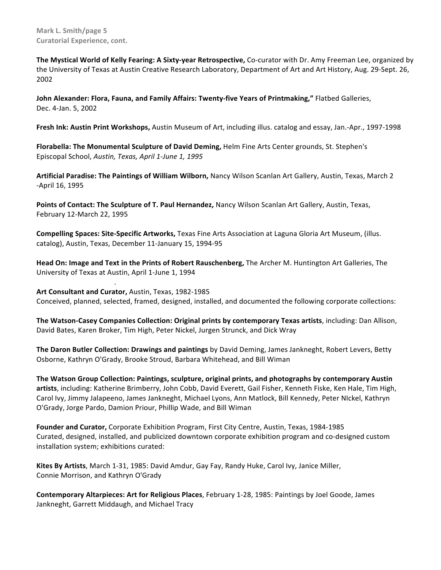**Mark L. Smith/page 5 Curatorial Experience, cont.** 

The Mystical World of Kelly Fearing: A Sixty-year Retrospective, Co-curator with Dr. Amy Freeman Lee, organized by the University of Texas at Austin Creative Research Laboratory, Department of Art and Art History, Aug. 29-Sept. 26, 2002

John Alexander: Flora, Fauna, and Family Affairs: Twenty-five Years of Printmaking," Flatbed Galleries, Dec. 4-Jan. 5, 2002

**Fresh Ink: Austin Print Workshops,** Austin Museum of Art, including illus. catalog and essay, Jan.-Apr., 1997-1998

Florabella: The Monumental Sculpture of David Deming, Helm Fine Arts Center grounds, St. Stephen's Episcopal School, *Austin, Texas, April 1-June 1, 1995* 

Artificial Paradise: The Paintings of William Wilborn, Nancy Wilson Scanlan Art Gallery, Austin, Texas, March 2 -April 16, 1995

Points of Contact: The Sculpture of T. Paul Hernandez, Nancy Wilson Scanlan Art Gallery, Austin, Texas, February 12-March 22, 1995

**Compelling Spaces: Site-Specific Artworks,** Texas Fine Arts Association at Laguna Gloria Art Museum, (illus. catalog), Austin, Texas, December 11-January 15, 1994-95

**Head On: Image and Text in the Prints of Robert Rauschenberg,** The Archer M. Huntington Art Galleries, The University of Texas at Austin, April 1-June 1, 1994

Art Consultant and Curator, Austin, Texas, 1982-1985 Conceived, planned, selected, framed, designed, installed, and documented the following corporate collections:

.

**The Watson-Casey Companies Collection: Original prints by contemporary Texas artists**, including: Dan Allison, David Bates, Karen Broker, Tim High, Peter Nickel, Jurgen Strunck, and Dick Wray

**The Daron Butler Collection: Drawings and paintings** by David Deming, James Jankneght, Robert Levers, Betty Osborne, Kathryn O'Grady, Brooke Stroud, Barbara Whitehead, and Bill Wiman

The Watson Group Collection: Paintings, sculpture, original prints, and photographs by contemporary Austin artists, including: Katherine Brimberry, John Cobb, David Everett, Gail Fisher, Kenneth Fiske, Ken Hale, Tim High, Carol Ivy, Jimmy Jalapeeno, James Jankneght, Michael Lyons, Ann Matlock, Bill Kennedy, Peter NIckel, Kathryn O'Grady, Jorge Pardo, Damion Priour, Phillip Wade, and Bill Wiman

Founder and Curator, Corporate Exhibition Program, First City Centre, Austin, Texas, 1984-1985 Curated, designed, installed, and publicized downtown corporate exhibition program and co-designed custom installation system; exhibitions curated:

Kites By Artists, March 1-31, 1985: David Amdur, Gay Fay, Randy Huke, Carol Ivy, Janice Miller, Connie Morrison, and Kathryn O'Grady

**Contemporary Altarpieces: Art for Religious Places**, February 1-28, 1985: Paintings by Joel Goode, James Jankneght, Garrett Middaugh, and Michael Tracy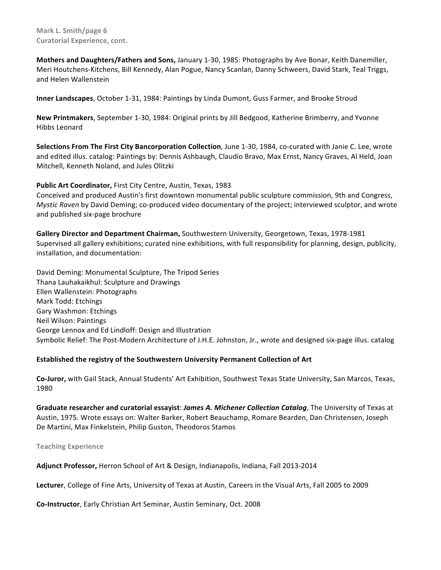**Mark L. Smith/page 6 Curatorial Experience, cont.** 

**Mothers and Daughters/Fathers and Sons,** January 1-30, 1985: Photographs by Ave Bonar, Keith Danemiller, Meri Houtchens-Kitchens, Bill Kennedy, Alan Pogue, Nancy Scanlan, Danny Schweers, David Stark, Teal Triggs, and Helen Wallenstein

Inner Landscapes, October 1-31, 1984: Paintings by Linda Dumont, Guss Farmer, and Brooke Stroud

New Printmakers, September 1-30, 1984: Original prints by Jill Bedgood, Katherine Brimberry, and Yvonne Hibbs Leonard

**Selections From The First City Bancorporation Collection**, June 1-30, 1984, co-curated with Janie C. Lee, wrote and edited illus. catalog: Paintings by: Dennis Ashbaugh, Claudio Bravo, Max Ernst, Nancy Graves, Al Held, Joan Mitchell, Kenneth Noland, and Jules Olitzki

Public Art Coordinator, First City Centre, Austin, Texas, 1983

Conceived and produced Austin's first downtown monumental public sculpture commission, 9th and Congress, *Mystic Raven* by David Deming; co-produced video documentary of the project; interviewed sculptor, and wrote and published six-page brochure

Gallery Director and Department Chairman, Southwestern University, Georgetown, Texas, 1978-1981 Supervised all gallery exhibitions; curated nine exhibitions, with full responsibility for planning, design, publicity, installation, and documentation:

David Deming: Monumental Sculpture, The Tripod Series Thana Lauhakaikhul: Sculpture and Drawings Ellen Wallenstein: Photographs Mark Todd: Etchings Gary Washmon: Etchings Neil Wilson: Paintings George Lennox and Ed Lindloff: Design and Illustration Symbolic Relief: The Post-Modern Architecture of J.H.E. Johnston, Jr., wrote and designed six-page illus. catalog

# **Established the registry of the Southwestern University Permanent Collection of Art**

Co-Juror, with Gail Stack, Annual Students' Art Exhibition, Southwest Texas State University, San Marcos, Texas, 1980

Graduate researcher and curatorial essayist: James A. Michener Collection Catalog, The University of Texas at Austin, 1975. Wrote essays on: Walter Barker, Robert Beauchamp, Romare Bearden, Dan Christensen, Joseph De Martini, Max Finkelstein, Philip Guston, Theodoros Stamos

**Teaching Experience**

Adjunct Professor, Herron School of Art & Design, Indianapolis, Indiana, Fall 2013-2014

Lecturer, College of Fine Arts, University of Texas at Austin, Careers in the Visual Arts, Fall 2005 to 2009

**Co-Instructor**, Early Christian Art Seminar, Austin Seminary, Oct. 2008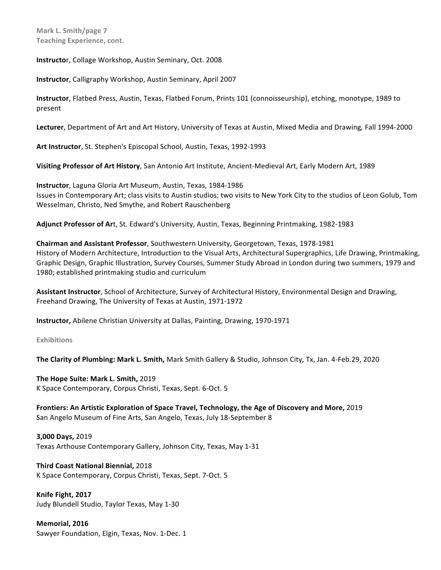**Instructo**r, Collage Workshop, Austin Seminary, Oct. 2008

**Instructor**, Calligraphy Workshop, Austin Seminary, April 2007

Instructor, Flatbed Press, Austin, Texas, Flatbed Forum, Prints 101 (connoisseurship), etching, monotype, 1989 to present

Lecturer, Department of Art and Art History, University of Texas at Austin, Mixed Media and Drawing, Fall 1994-2000

Art Instructor, St. Stephen's Episcopal School, Austin, Texas, 1992-1993

**Visiting Professor of Art History**, San Antonio Art Institute, Ancient-Medieval Art, Early Modern Art, 1989

**Instructor**, Laguna Gloria Art Museum, Austin, Texas, 1984-1986 Issues in Contemporary Art; class visits to Austin studios; two visits to New York City to the studios of Leon Golub, Tom Wesselman, Christo, Ned Smythe, and Robert Rauschenberg

Adjunct Professor of Art, St. Edward's University, Austin, Texas, Beginning Printmaking, 1982-1983

**Chairman and Assistant Professor**, Southwestern University, Georgetown, Texas, 1978-1981 History of Modern Architecture, Introduction to the Visual Arts, Architectural Supergraphics, Life Drawing, Printmaking, Graphic Design, Graphic Illustration, Survey Courses, Summer Study Abroad in London during two summers, 1979 and 1980; established printmaking studio and curriculum

Assistant Instructor, School of Architecture, Survey of Architectural History, Environmental Design and Drawing, Freehand Drawing, The University of Texas at Austin, 1971-1972

**Instructor,** Abilene Christian University at Dallas, Painting, Drawing, 1970-1971

#### **Exhibitions**

**The Clarity of Plumbing: Mark L. Smith,** Mark Smith Gallery & Studio, Johnson City, Tx, Jan. 4-Feb.29, 2020

The Hope Suite: Mark L. Smith, 2019 K Space Contemporary, Corpus Christi, Texas, Sept. 6-Oct. 5

Frontiers: An Artistic Exploration of Space Travel, Technology, the Age of Discovery and More, 2019 San Angelo Museum of Fine Arts, San Angelo, Texas, July 18-September 8

**3,000 Days,** 2019 Texas Arthouse Contemporary Gallery, Johnson City, Texas, May 1-31

**Third Coast National Biennial, 2018** K Space Contemporary, Corpus Christi, Texas, Sept. 7-Oct. 5

**Knife Fight, 2017** Judy Blundell Studio, Taylor Texas, May 1-30

**Memorial, 2016** Sawyer Foundation, Elgin, Texas, Nov. 1-Dec. 1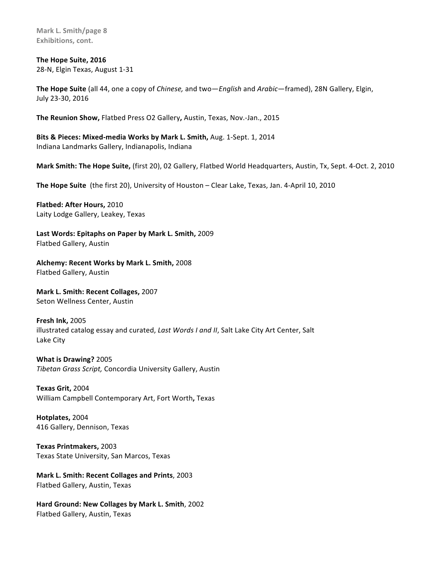**Mark L. Smith/page 8 Exhibitions, cont.** 

**The Hope Suite, 2016** 28-N, Elgin Texas, August 1-31

**The Hope Suite** (all 44, one a copy of *Chinese*, and two—*English* and *Arabic*—framed), 28N Gallery, Elgin, July 23-30, 2016

The Reunion Show, Flatbed Press O2 Gallery, Austin, Texas, Nov.-Jan., 2015

**Bits & Pieces: Mixed-media Works by Mark L. Smith, Aug. 1-Sept. 1, 2014** Indiana Landmarks Gallery, Indianapolis, Indiana

**Mark Smith: The Hope Suite,** (first 20), 02 Gallery, Flatbed World Headquarters, Austin, Tx, Sept. 4-Oct. 2, 2010

The Hope Suite (the first 20), University of Houston – Clear Lake, Texas, Jan. 4-April 10, 2010

**Flatbed: After Hours, 2010** Laity Lodge Gallery, Leakey, Texas

Last Words: Epitaphs on Paper by Mark L. Smith, 2009 Flatbed Gallery, Austin

Alchemy: Recent Works by Mark L. Smith, 2008 Flatbed Gallery, Austin

**Mark L. Smith: Recent Collages, 2007** Seton Wellness Center, Austin

**Fresh Ink, 2005** illustrated catalog essay and curated, *Last Words I and II*, Salt Lake City Art Center, Salt Lake City

**What is Drawing?** 2005 *Tibetan Grass Script,* Concordia University Gallery, Austin 

**Texas Grit,** 2004 William Campbell Contemporary Art, Fort Worth**,** Texas

**Hotplates,** 2004 416 Gallery, Dennison, Texas

**Texas Printmakers,** 2003 Texas State University, San Marcos, Texas

**Mark L. Smith: Recent Collages and Prints**, 2003 Flatbed Gallery, Austin, Texas

Hard Ground: New Collages by Mark L. Smith, 2002 Flatbed Gallery, Austin, Texas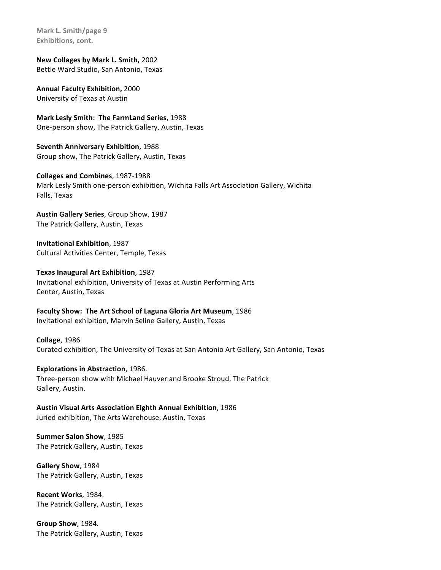**Mark L. Smith/page 9 Exhibitions, cont.** 

**New Collages by Mark L. Smith, 2002** Bettie Ward Studio, San Antonio, Texas

**Annual Faculty Exhibition,** 2000 University of Texas at Austin

**Mark Lesly Smith: The FarmLand Series**, 1988 One-person show, The Patrick Gallery, Austin, Texas

**Seventh Anniversary Exhibition**, 1988 Group show, The Patrick Gallery, Austin, Texas

**Collages and Combines**, 1987-1988 Mark Lesly Smith one-person exhibition, Wichita Falls Art Association Gallery, Wichita Falls, Texas

**Austin Gallery Series**, Group Show, 1987 The Patrick Gallery, Austin, Texas

**Invitational Exhibition**, 1987 Cultural Activities Center, Temple, Texas

**Texas Inaugural Art Exhibition**, 1987 Invitational exhibition, University of Texas at Austin Performing Arts Center, Austin, Texas

Faculty Show: The Art School of Laguna Gloria Art Museum, 1986 Invitational exhibition, Marvin Seline Gallery, Austin, Texas

**Collage**, 1986 Curated exhibition, The University of Texas at San Antonio Art Gallery, San Antonio, Texas

**Explorations in Abstraction**, 1986. Three-person show with Michael Hauver and Brooke Stroud, The Patrick Gallery, Austin.

**Austin Visual Arts Association Eighth Annual Exhibition**, 1986 Juried exhibition, The Arts Warehouse, Austin, Texas

**Summer Salon Show, 1985** The Patrick Gallery, Austin, Texas

**Gallery Show**, 1984 The Patrick Gallery, Austin, Texas

**Recent Works**, 1984. The Patrick Gallery, Austin, Texas

**Group Show**, 1984. The Patrick Gallery, Austin, Texas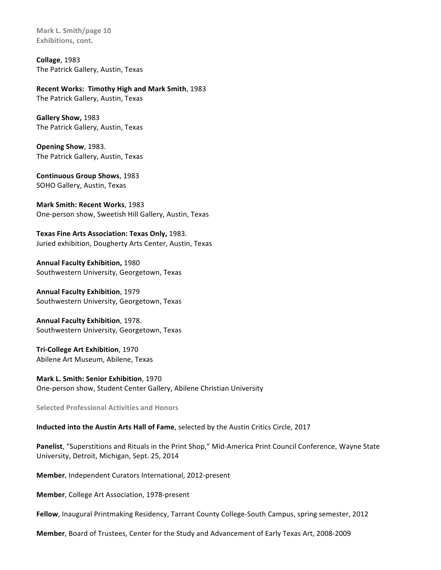**Mark L. Smith/page 10 Exhibitions, cont.** 

**Collage**, 1983 The Patrick Gallery, Austin, Texas

**Recent Works: Timothy High and Mark Smith, 1983** 

The Patrick Gallery, Austin, Texas

**Gallery Show,** 1983 The Patrick Gallery, Austin, Texas

**Opening Show**, 1983. The Patrick Gallery, Austin, Texas

**Continuous Group Shows**, 1983 SOHO Gallery, Austin, Texas

**Mark Smith: Recent Works, 1983** One-person show, Sweetish Hill Gallery, Austin, Texas

Texas Fine Arts Association: Texas Only, 1983. Juried exhibition, Dougherty Arts Center, Austin, Texas

**Annual Faculty Exhibition,** 1980 Southwestern University, Georgetown, Texas

**Annual Faculty Exhibition**, 1979 Southwestern University, Georgetown, Texas

**Annual Faculty Exhibition**, 1978. Southwestern University, Georgetown, Texas

**Tri-College Art Exhibition**, 1970 Abilene Art Museum, Abilene, Texas

**Mark L. Smith: Senior Exhibition**, 1970 One-person show, Student Center Gallery, Abilene Christian University

**Selected Professional Activities and Honors**

**Inducted into the Austin Arts Hall of Fame**, selected by the Austin Critics Circle, 2017

Panelist, "Superstitions and Rituals in the Print Shop," Mid-America Print Council Conference, Wayne State University, Detroit, Michigan, Sept. 25, 2014

**Member**, Independent Curators International, 2012-present

**Member, College Art Association, 1978-present** 

Fellow, Inaugural Printmaking Residency, Tarrant County College-South Campus, spring semester, 2012

**Member**, Board of Trustees, Center for the Study and Advancement of Early Texas Art, 2008-2009